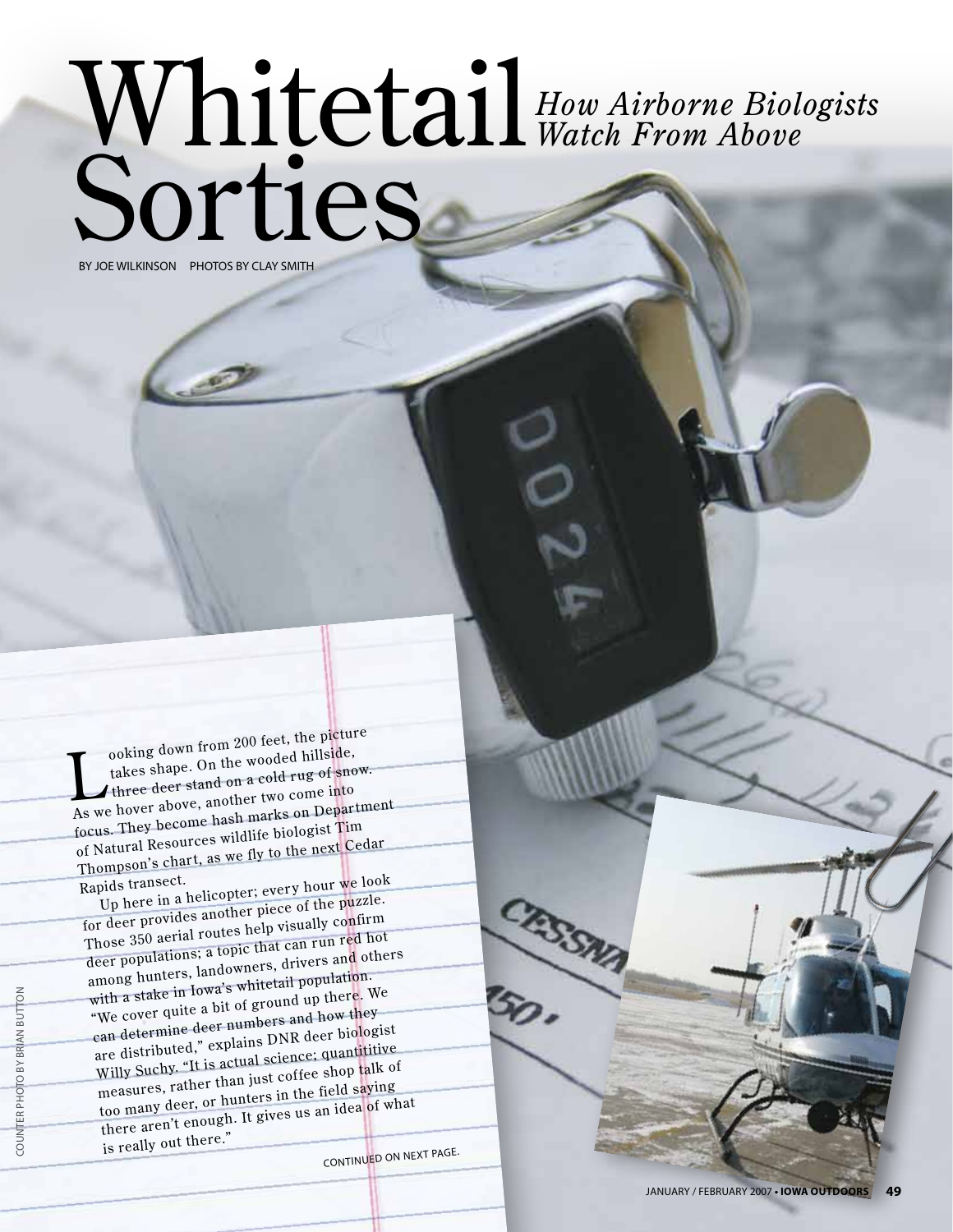## Whitetail Sorties *How Airborne Biologists Watch From Above* BY JOE WILKINSON PHOTOS BY CLAY SMITH

ooking down from 200 feet, the picture<br>takes shape. On the wooded hillside,<br>three deer stand on a cold rug of snow. ooking down from 200 feet, the picture<br>takes shape. On the wooded hillside, As we hover above, another two come into focus. They become hash marks on Department of Natural Resources wildlife biologist Tim Thompson's chart, as we fly to the next Cedar

Rapids transect. Up here in a helicopter; every hour we look

for deer provides another piece of the puzzle. Those 350 aerial routes help visually confirm deer populations; a topic that can run red hot among hunters, landowners, drivers and others with a stake in Iowa's whitetail population. "We cover quite a bit of ground up there. We can determine deer numbers and how they are distributed," explains DNR deer biologist Willy Suchy. "It is actual science; quantititive measures, rather than just coffee shop talk of too many deer, or hunters in the field saying there aren't enough. It gives us an idea of what is really out there."

Continued on next page.

CRSSMA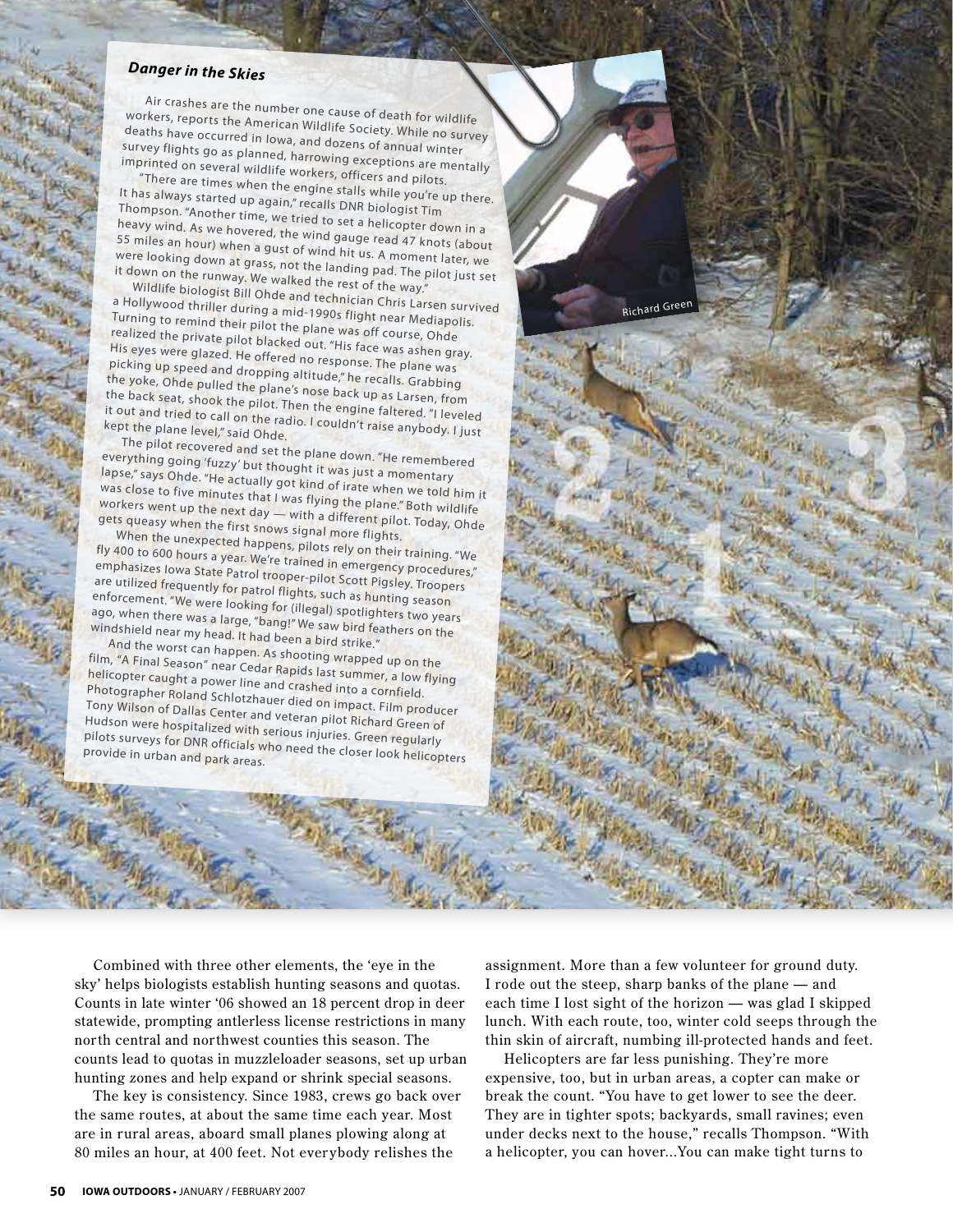## *Danger in the Skies*

Air crashes are the number one cause of death for wildlife workers, reports the American Wildlife Society. While no survey deaths have occurred in Iowa, and dozens of annual winter survey flights go as planned, harrowing exceptions are mentally imprinted on several wildlife workers, officers and pilots.

"There are times when the engine stalls while you're up there. It has always started were the engine stalls while you're is<br>Thompson, "Another time was "Tecalls DNR biologist Tim Thompson. "Another time, we tried to set a helicopter down in a heavy wind. As we hovered, the wind gauge read 47 knots (about 55 miles an hour) when a gust of wind hit us. A moment later, we were looking down at grass, not the landing pad. The pilot just set<br>It down on the runway. We walked the landing pad. The pilot just set it down on the runway. We walked the rest of the way."

Wildlife biologist Bill Ohde and technician Chris Larsen survived a Hollywood thriller during a mid-1990s flight near Mediapolis. Turning to remind their pilot the plane was off course, Ohde realized the private pilot blacked out. "His face was ashen gray. His eyes were glazed. He offered no response. The plane was picking up speed and dropping altitude," he recalls. Grabbing the yoke, Ohde pulled the plane's nose back up as Larsen, from the back seat, shook the pilot. Then the engine faltered. "I leveled<br>it out and tried to call on the radio. I couldn't raise anybody. I just<br>kept the plane level." said Ohde it out and tried to call on the radio. I couldn't raise anybody. I just<br>kept the plane level," said Ohde.

The pilot recovered and set the plane down. "He remembered everything going 'fuzzy' but thought it was just a momentary lapse," says Ohde. "He actually got kind of irate when we told him it Was close to five minutes that I was flying the when we told him i<br>Workers went up the next day will use flying the plane." Both wildlife workers went up the next day — with a different pilot. Today, Ohde gets queasy when the first snows signal more flights.

When the unexpected happens, pilots rely on their training. "We fly 400 to 600 hours a year. We're trained in emergency procedures," emphasizes Iowa State Patrol trooper-pilot Scott Pigsley. Troopers are utilized frequently for patrol flights, such as hunting season enforcement. "We were looking for (illegal) spotlighters two years ago, when there was a large, "bang!" We saw bird feathers on the windshield near my head. It had been a bird strike."

And the worst can happen. As shooting wrapped up on the film, "A Final Season" near Cedar Rapids last summer, a low flying helicopter caught a power line and crashed into a cornfield. Photographer Roland Schlotzhauer died on impact. Film producer Tony Wilson of Dallas Center and veteran pilot Richard Green of<br>Hudson were hospitalized with seximal pilot Richard Green of Hudson were hospitalized with serious injuries. Green of<br>Pilots surveys for DNR officials who need at the Green regularly priots surveys for DNR officials who need the closer look helicopters<br>provide in urban and park areas.

Combined with three other elements, the 'eye in the sky' helps biologists establish hunting seasons and quotas. Counts in late winter '06 showed an 18 percent drop in deer statewide, prompting antlerless license restrictions in many north central and northwest counties this season. The counts lead to quotas in muzzleloader seasons, set up urban hunting zones and help expand or shrink special seasons.

The key is consistency. Since 1983, crews go back over the same routes, at about the same time each year. Most are in rural areas, aboard small planes plowing along at 80 miles an hour, at 400 feet. Not ever ybody relishes the

assignment. More than a few volunteer for ground duty. I rode out the steep, sharp banks of the plane — and each time I lost sight of the horizon — was glad I skipped lunch. With each route, too, winter cold seeps through the thin skin of aircraft, numbing ill-protected hands and feet.

Richard Green

Helicopters are far less punishing. They're more expensive, too, but in urban areas, a copter can make or break the count. "You have to get lower to see the deer. They are in tighter spots; backyards, small ravines; even under decks next to the house," recalls Thompson. "With a helicopter, you can hover...You can make tight turns to